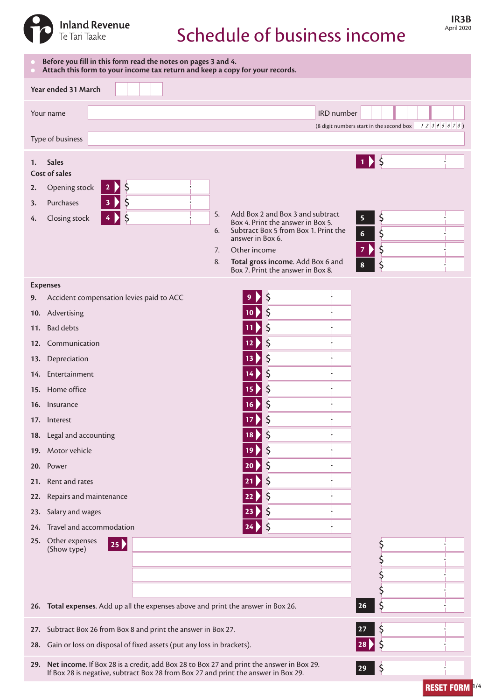

# Schedule of business income

| Before you fill in this form read the notes on pages 3 and 4.<br>Attach this form to your income tax return and keep a copy for your records.                                                                                                                                                                                                                                            |                                                                                                                                                                                                                                                                                                         |  |
|------------------------------------------------------------------------------------------------------------------------------------------------------------------------------------------------------------------------------------------------------------------------------------------------------------------------------------------------------------------------------------------|---------------------------------------------------------------------------------------------------------------------------------------------------------------------------------------------------------------------------------------------------------------------------------------------------------|--|
| Year ended 31 March                                                                                                                                                                                                                                                                                                                                                                      |                                                                                                                                                                                                                                                                                                         |  |
| Your name                                                                                                                                                                                                                                                                                                                                                                                | IRD number<br>(8 digit numbers start in the second box<br>12345678                                                                                                                                                                                                                                      |  |
| Type of business                                                                                                                                                                                                                                                                                                                                                                         |                                                                                                                                                                                                                                                                                                         |  |
| <b>Sales</b><br>1.<br>Cost of sales<br>\$<br>Opening stock<br>2.<br>$\mathbf{z}$<br>\$<br>Purchases<br>3.<br>3<br>5.<br>Closing stock<br>4.<br>6.<br>7.<br>8.                                                                                                                                                                                                                            | $1)$ \$<br>Add Box 2 and Box 3 and subtract<br>5<br>\$<br>Box 4. Print the answer in Box 5.<br>Subtract Box 5 from Box 1. Print the<br>\$<br>$\boldsymbol{6}$<br>answer in Box 6.<br>\$<br>Other income<br>7<br>Total gross income. Add Box 6 and<br>Ś<br>$\bf{8}$<br>Box 7. Print the answer in Box 8. |  |
| <b>Expenses</b>                                                                                                                                                                                                                                                                                                                                                                          |                                                                                                                                                                                                                                                                                                         |  |
| Accident compensation levies paid to ACC<br>9.<br>10. Advertising<br>11. Bad debts<br>12. Communication<br>13. Depreciation<br>14. Entertainment<br>15. Home office<br>16. Insurance<br>17. Interest<br>18. Legal and accounting<br>19. Motor vehicle<br>20. Power<br>21. Rent and rates<br>Repairs and maintenance<br>22.<br>Salary and wages<br>23.<br>Travel and accommodation<br>24. | Ş<br>9<br>S<br>10 <sub>2</sub><br>\$<br>12<br>13<br>\$<br>14<br>15<br>Ş<br>16<br>17<br>\$<br>18<br>\$<br>19<br>20<br>Ş<br>21<br>Ş<br>22<br>Ş<br>Ş                                                                                                                                                       |  |
| 25. Other expenses<br>$ 25\rangle$<br>(Show type)                                                                                                                                                                                                                                                                                                                                        | Ş                                                                                                                                                                                                                                                                                                       |  |
|                                                                                                                                                                                                                                                                                                                                                                                          |                                                                                                                                                                                                                                                                                                         |  |
| 26. Total expenses. Add up all the expenses above and print the answer in Box 26.                                                                                                                                                                                                                                                                                                        | \$<br>  26                                                                                                                                                                                                                                                                                              |  |
| Subtract Box 26 from Box 8 and print the answer in Box 27.<br>27.<br>28. Gain or loss on disposal of fixed assets (put any loss in brackets).                                                                                                                                                                                                                                            | Ş                                                                                                                                                                                                                                                                                                       |  |
| 29. Net income. If Box 28 is a credit, add Box 28 to Box 27 and print the answer in Box 29.<br>$\zeta$<br>$ 29\rangle$<br>If Box 28 is negative, subtract Box 28 from Box 27 and print the answer in Box 29.                                                                                                                                                                             |                                                                                                                                                                                                                                                                                                         |  |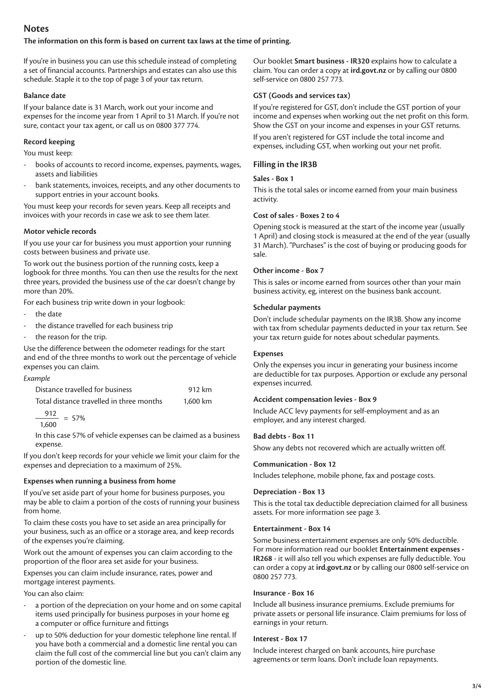# **Notes**

#### **The information on this form is based on current tax laws at the time of printing.**

If you're in business you can use this schedule instead of completing a set of financial accounts. Partnerships and estates can also use this schedule. Staple it to the top of page 3 of your tax return.

#### **Balance date**

If your balance date is 31 March, work out your income and expenses for the income year from 1 April to 31 March. If you're not sure, contact your tax agent, or call us on 0800 377 774.

## **Record keeping**

You must keep:

- books of accounts to record income, expenses, payments, wages, assets and liabilities
- bank statements, invoices, receipts, and any other documents to support entries in your account books.

You must keep your records for seven years. Keep all receipts and invoices with your records in case we ask to see them later.

## **Motor vehicle records**

If you use your car for business you must apportion your running costs between business and private use.

To work out the business portion of the running costs, keep a logbook for three months. You can then use the results for the next three years, provided the business use of the car doesn't change by more than 20%.

For each business trip write down in your logbook:

- the date
- the distance travelled for each business trip
- the reason for the trip.

Use the difference between the odometer readings for the start and end of the three months to work out the percentage of vehicle expenses you can claim.

| Example                                  |          |
|------------------------------------------|----------|
| Distance travelled for business          | 912 km   |
| Total distance travelled in three months | 1.600 km |

$$
\frac{912}{10} = 57\%
$$

1,600

In this case 57% of vehicle expenses can be claimed as a business expense.

If you don't keep records for your vehicle we limit your claim for the expenses and depreciation to a maximum of 25%.

# **Expenses when running a business from home**

If you've set aside part of your home for business purposes, you may be able to claim a portion of the costs of running your business from home.

To claim these costs you have to set aside an area principally for your business, such as an office or a storage area, and keep records of the expenses you're claiming.

Work out the amount of expenses you can claim according to the proportion of the floor area set aside for your business.

Expenses you can claim include insurance, rates, power and mortgage interest payments.

You can also claim:

- a portion of the depreciation on your home and on some capital items used principally for business purposes in your home eg a computer or office furniture and fittings
- up to 50% deduction for your domestic telephone line rental. If you have both a commercial and a domestic line rental you can claim the full cost of the commercial line but you can't claim any portion of the domestic line.

Our booklet **Smart business - IR320** explains how to calculate a claim. You can order a copy at **ird.govt.nz** or by calling our 0800 self-service on 0800 257 773.

# **GST (Goods and services tax)**

If you're registered for GST, don't include the GST portion of your income and expenses when working out the net profit on this form. Show the GST on your income and expenses in your GST returns. If you aren't registered for GST include the total income and

expenses, including GST, when working out your net profit.

# **Filling in the IR3B**

## **Sales - Box 1**

This is the total sales or income earned from your main business activity.

## **Cost of sales - Boxes 2 to 4**

Opening stock is measured at the start of the income year (usually 1 April) and closing stock is measured at the end of the year (usually 31 March). "Purchases" is the cost of buying or producing goods for sale.

## **Other income - Box 7**

This is sales or income earned from sources other than your main business activity, eg, interest on the business bank account.

## **Schedular payments**

Don't include schedular payments on the IR3B. Show any income with tax from schedular payments deducted in your tax return. See your tax return guide for notes about schedular payments.

## **Expenses**

Only the expenses you incur in generating your business income are deductible for tax purposes. Apportion or exclude any personal expenses incurred.

#### **Accident compensation levies - Box 9**

Include ACC levy payments for self-employment and as an employer, and any interest charged.

# **Bad debts - Box 11**

Show any debts not recovered which are actually written off.

#### **Communication - Box 12**

Includes telephone, mobile phone, fax and postage costs.

#### **Depreciation - Box 13**

This is the total tax deductible depreciation claimed for all business assets. For more information see page 3.

#### **Entertainment - Box 14**

Some business entertainment expenses are only 50% deductible. For more information read our booklet **Entertainment expenses - IR268** - it will also tell you which expenses are fully deductible. You can order a copy at **ird.govt.nz** or by calling our 0800 self-service on 0800 257 773.

#### **Insurance - Box 16**

Include all business insurance premiums. Exclude premiums for private assets or personal life insurance. Claim premiums for loss of earnings in your return.

#### **Interest - Box 17**

Include interest charged on bank accounts, hire purchase agreements or term loans. Don't include loan repayments.